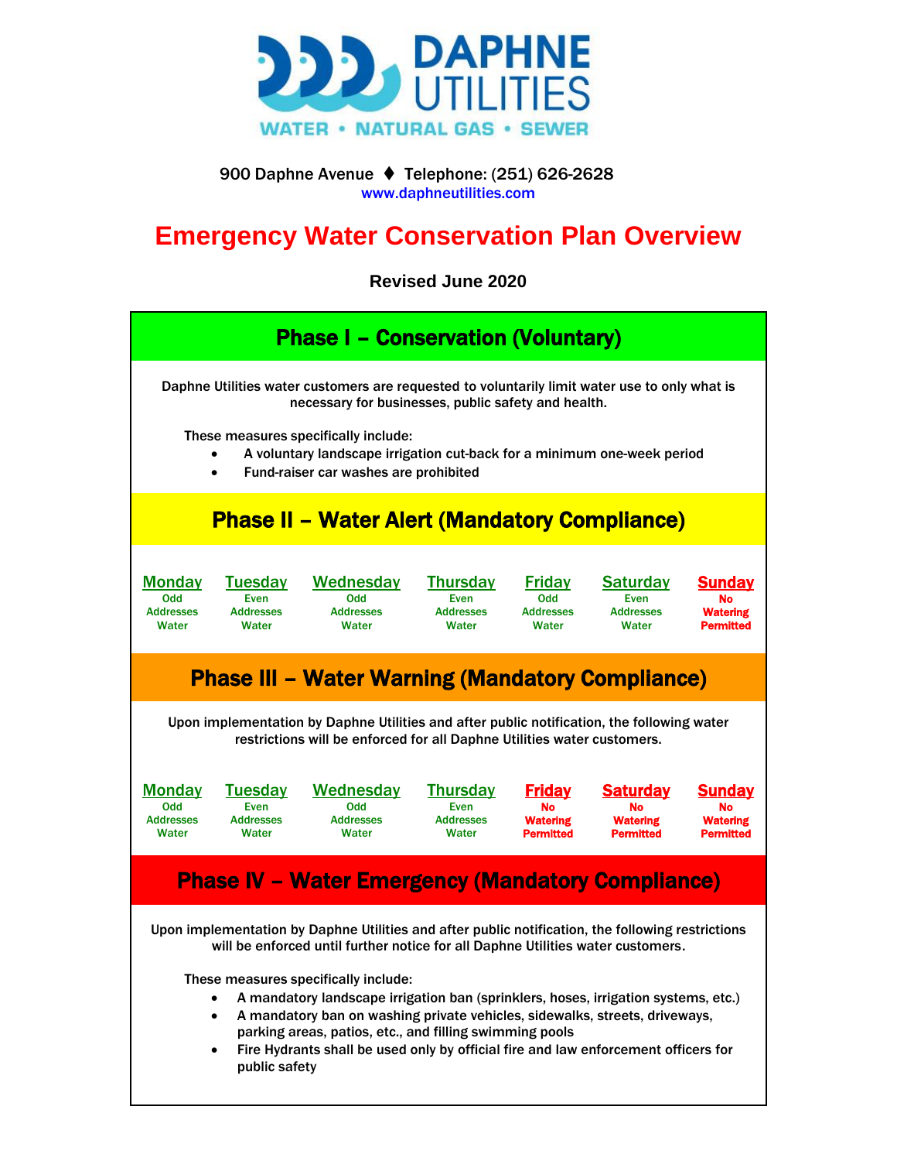

 900 Daphne Avenue ⧫ Telephone: (251) 626-2628 www.daphneutilities.com

# **Emergency Water Conservation Plan Overview**

**Revised June 2020**

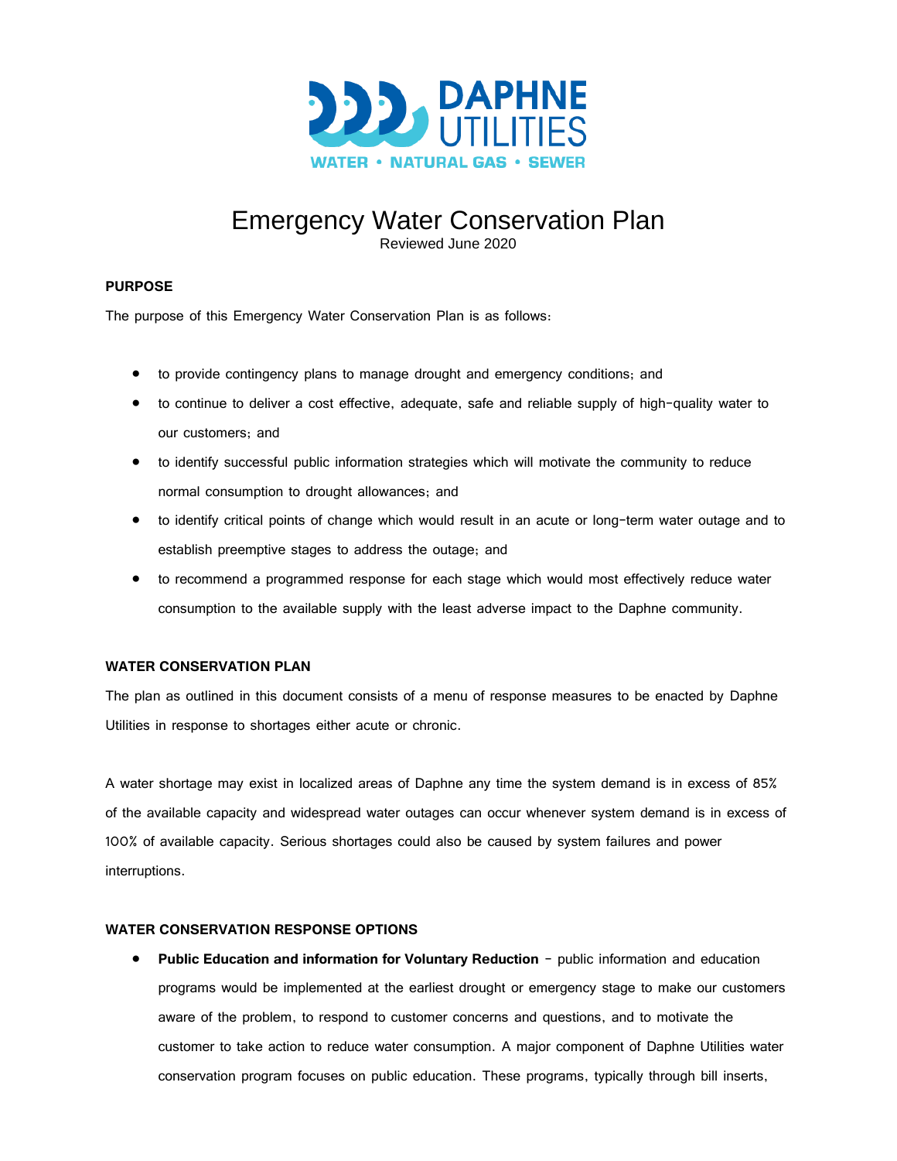

# Emergency Water Conservation Plan

Reviewed June 2020

# **PURPOSE**

The purpose of this Emergency Water Conservation Plan is as follows:

- to provide contingency plans to manage drought and emergency conditions; and
- to continue to deliver a cost effective, adequate, safe and reliable supply of high-quality water to our customers; and
- to identify successful public information strategies which will motivate the community to reduce normal consumption to drought allowances; and
- to identify critical points of change which would result in an acute or long-term water outage and to establish preemptive stages to address the outage; and
- to recommend a programmed response for each stage which would most effectively reduce water consumption to the available supply with the least adverse impact to the Daphne community.

## **WATER CONSERVATION PLAN**

The plan as outlined in this document consists of a menu of response measures to be enacted by Daphne Utilities in response to shortages either acute or chronic.

A water shortage may exist in localized areas of Daphne any time the system demand is in excess of 85% of the available capacity and widespread water outages can occur whenever system demand is in excess of 100% of available capacity. Serious shortages could also be caused by system failures and power interruptions.

## **WATER CONSERVATION RESPONSE OPTIONS**

• **Public Education and information for Voluntary Reduction** - public information and education programs would be implemented at the earliest drought or emergency stage to make our customers aware of the problem, to respond to customer concerns and questions, and to motivate the customer to take action to reduce water consumption. A major component of Daphne Utilities water conservation program focuses on public education. These programs, typically through bill inserts,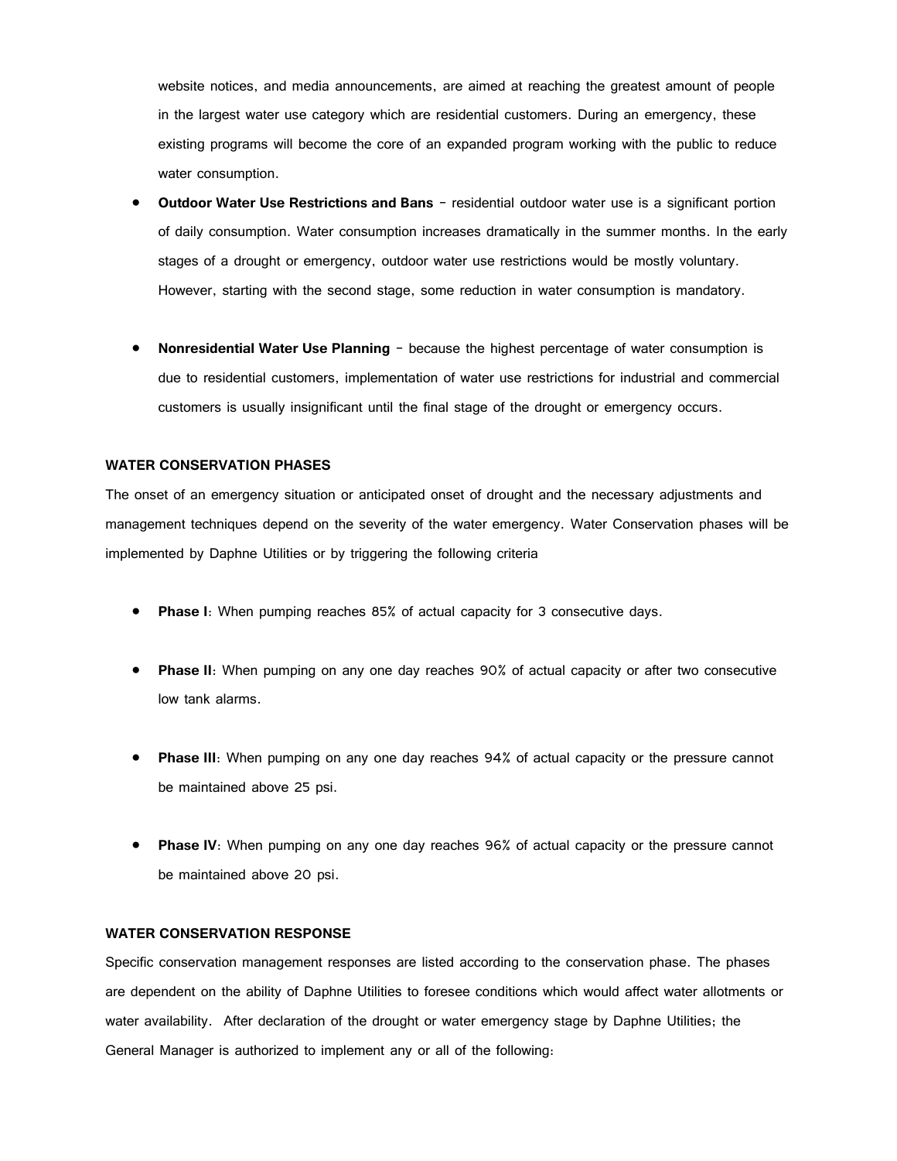website notices, and media announcements, are aimed at reaching the greatest amount of people in the largest water use category which are residential customers. During an emergency, these existing programs will become the core of an expanded program working with the public to reduce water consumption.

- **Outdoor Water Use Restrictions and Bans** residential outdoor water use is a significant portion of daily consumption. Water consumption increases dramatically in the summer months. In the early stages of a drought or emergency, outdoor water use restrictions would be mostly voluntary. However, starting with the second stage, some reduction in water consumption is mandatory.
- **Nonresidential Water Use Planning** because the highest percentage of water consumption is due to residential customers, implementation of water use restrictions for industrial and commercial customers is usually insignificant until the final stage of the drought or emergency occurs.

#### **WATER CONSERVATION PHASES**

The onset of an emergency situation or anticipated onset of drought and the necessary adjustments and management techniques depend on the severity of the water emergency. Water Conservation phases will be implemented by Daphne Utilities or by triggering the following criteria

- **Phase I**: When pumping reaches 85% of actual capacity for 3 consecutive days.
- **Phase II**: When pumping on any one day reaches 90% of actual capacity or after two consecutive low tank alarms.
- **Phase III**: When pumping on any one day reaches 94% of actual capacity or the pressure cannot be maintained above 25 psi.
- **Phase IV:** When pumping on any one day reaches 96% of actual capacity or the pressure cannot be maintained above 20 psi.

#### **WATER CONSERVATION RESPONSE**

Specific conservation management responses are listed according to the conservation phase. The phases are dependent on the ability of Daphne Utilities to foresee conditions which would affect water allotments or water availability. After declaration of the drought or water emergency stage by Daphne Utilities; the General Manager is authorized to implement any or all of the following: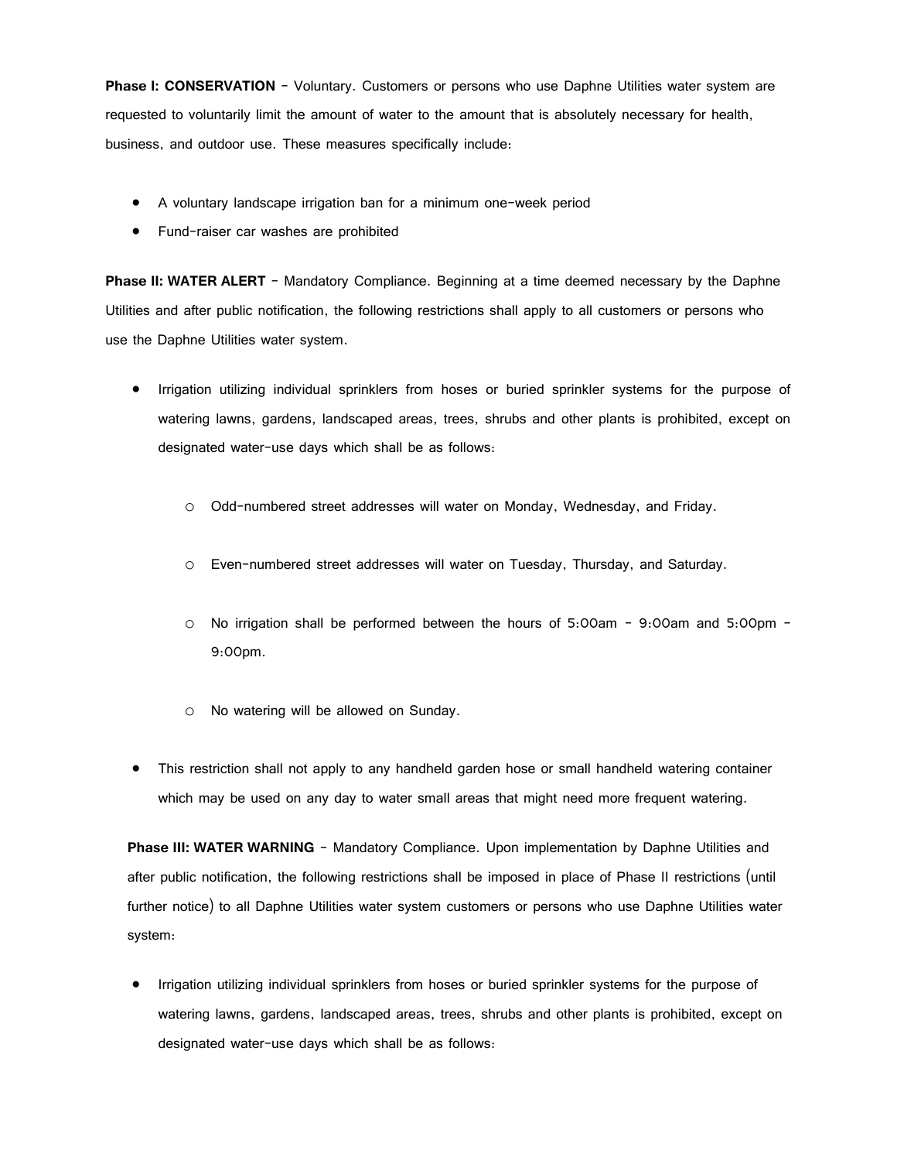**Phase I: CONSERVATION** – Voluntary. Customers or persons who use Daphne Utilities water system are requested to voluntarily limit the amount of water to the amount that is absolutely necessary for health, business, and outdoor use. These measures specifically include:

- A voluntary landscape irrigation ban for a minimum one-week period
- Fund-raiser car washes are prohibited

**Phase II: WATER ALERT** – Mandatory Compliance. Beginning at a time deemed necessary by the Daphne Utilities and after public notification, the following restrictions shall apply to all customers or persons who use the Daphne Utilities water system.

- Irrigation utilizing individual sprinklers from hoses or buried sprinkler systems for the purpose of watering lawns, gardens, landscaped areas, trees, shrubs and other plants is prohibited, except on designated water-use days which shall be as follows:
	- o Odd-numbered street addresses will water on Monday, Wednesday, and Friday.
	- o Even-numbered street addresses will water on Tuesday, Thursday, and Saturday.
	- o No irrigation shall be performed between the hours of 5:00am 9:00am and 5:00pm 9:00pm.
	- o No watering will be allowed on Sunday.
- This restriction shall not apply to any handheld garden hose or small handheld watering container which may be used on any day to water small areas that might need more frequent watering.

**Phase III: WATER WARNING** - Mandatory Compliance. Upon implementation by Daphne Utilities and after public notification, the following restrictions shall be imposed in place of Phase II restrictions (until further notice) to all Daphne Utilities water system customers or persons who use Daphne Utilities water system:

• Irrigation utilizing individual sprinklers from hoses or buried sprinkler systems for the purpose of watering lawns, gardens, landscaped areas, trees, shrubs and other plants is prohibited, except on designated water-use days which shall be as follows: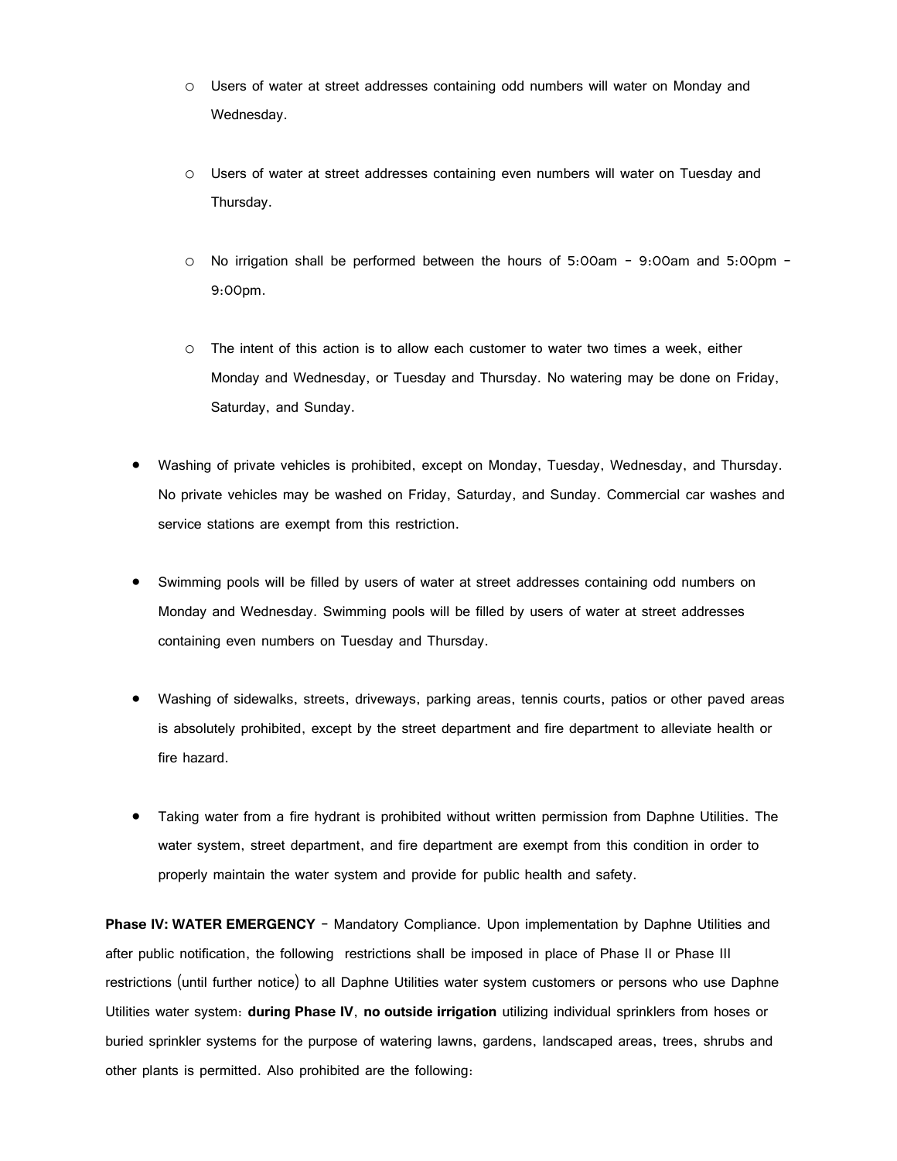- o Users of water at street addresses containing odd numbers will water on Monday and Wednesday.
- o Users of water at street addresses containing even numbers will water on Tuesday and Thursday.
- o No irrigation shall be performed between the hours of 5:00am 9:00am and 5:00pm 9:00pm.
- o The intent of this action is to allow each customer to water two times a week, either Monday and Wednesday, or Tuesday and Thursday. No watering may be done on Friday, Saturday, and Sunday.
- Washing of private vehicles is prohibited, except on Monday, Tuesday, Wednesday, and Thursday. No private vehicles may be washed on Friday, Saturday, and Sunday. Commercial car washes and service stations are exempt from this restriction.
- Swimming pools will be filled by users of water at street addresses containing odd numbers on Monday and Wednesday. Swimming pools will be filled by users of water at street addresses containing even numbers on Tuesday and Thursday.
- Washing of sidewalks, streets, driveways, parking areas, tennis courts, patios or other paved areas is absolutely prohibited, except by the street department and fire department to alleviate health or fire hazard.
- Taking water from a fire hydrant is prohibited without written permission from Daphne Utilities. The water system, street department, and fire department are exempt from this condition in order to properly maintain the water system and provide for public health and safety.

**Phase IV: WATER EMERGENCY** - Mandatory Compliance. Upon implementation by Daphne Utilities and after public notification, the following restrictions shall be imposed in place of Phase II or Phase III restrictions (until further notice) to all Daphne Utilities water system customers or persons who use Daphne Utilities water system: **during Phase IV**, **no outside irrigation** utilizing individual sprinklers from hoses or buried sprinkler systems for the purpose of watering lawns, gardens, landscaped areas, trees, shrubs and other plants is permitted. Also prohibited are the following: